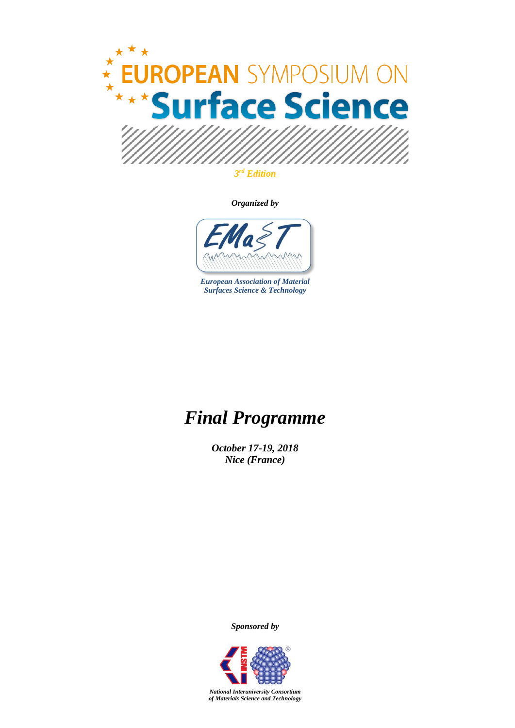

*Organized by*



*European Association of Material Surfaces Science & Technology*

## *Final Programme*

*October 17-19, 2018 Nice (France)*

*Sponsored by*



*National Interuniversity Consortium of Materials Science and Technology*